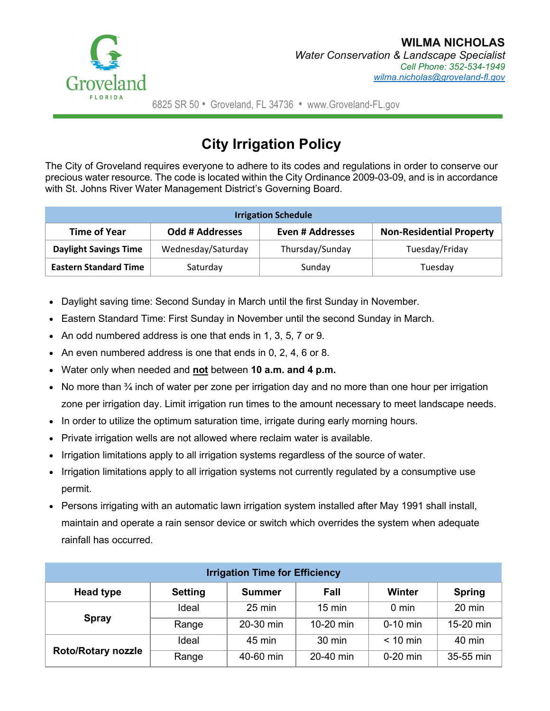

## **City Irrigation Policy**

The City of Groveland requires everyone to adhere to its codes and regulations in order to conserve our precious water resource. The code is located within the City Ordinance 2009-03-09, and is in accordance with St. Johns River Water Management District's Governing Board.

| <b>Irrigation Schedule</b>   |                        |                  |                                 |  |  |  |  |
|------------------------------|------------------------|------------------|---------------------------------|--|--|--|--|
| <b>Time of Year</b>          | <b>Odd # Addresses</b> | Even # Addresses | <b>Non-Residential Property</b> |  |  |  |  |
| <b>Daylight Savings Time</b> | Wednesday/Saturday     | Thursday/Sunday  | Tuesday/Friday                  |  |  |  |  |
| <b>Eastern Standard Time</b> | Saturday               | Sunday           | Tuesday                         |  |  |  |  |

- Daylight saving time: Second Sunday in March until the first Sunday in November.
- Eastern Standard Time: First Sunday in November until the second Sunday in March.
- An odd numbered address is one that ends in 1, 3, 5, 7 or 9.
- An even numbered address is one that ends in 0, 2, 4, 6 or 8.
- Water only when needed and **not** between **10 a.m. and 4 p.m.**
- No more than  $\frac{3}{4}$  inch of water per zone per irrigation day and no more than one hour per irrigation zone per irrigation day. Limit irrigation run times to the amount necessary to meet landscape needs.
- In order to utilize the optimum saturation time, irrigate during early morning hours.
- Private irrigation wells are not allowed where reclaim water is available.
- Irrigation limitations apply to all irrigation systems regardless of the source of water.
- Irrigation limitations apply to all irrigation systems not currently regulated by a consumptive use permit.
- Persons irrigating with an automatic lawn irrigation system installed after May 1991 shall install, maintain and operate a rain sensor device or switch which overrides the system when adequate rainfall has occurred.

| <b>Irrigation Time for Efficiency</b> |                |                  |                  |            |               |  |  |
|---------------------------------------|----------------|------------------|------------------|------------|---------------|--|--|
| <b>Head type</b>                      | <b>Setting</b> | <b>Summer</b>    | Fall             | Winter     | <b>Spring</b> |  |  |
| <b>Spray</b>                          | Ideal          | $25 \text{ min}$ | $15 \text{ min}$ | 0 min      | 20 min        |  |  |
|                                       | Range          | 20-30 min        | 10-20 min        | $0-10$ min | 15-20 min     |  |  |
| <b>Roto/Rotary nozzle</b>             | Ideal          | 45 min           | 30 min           | $< 10$ min | 40 min        |  |  |
|                                       | Range          | 40-60 min        | 20-40 min        | $0-20$ min | 35-55 min     |  |  |